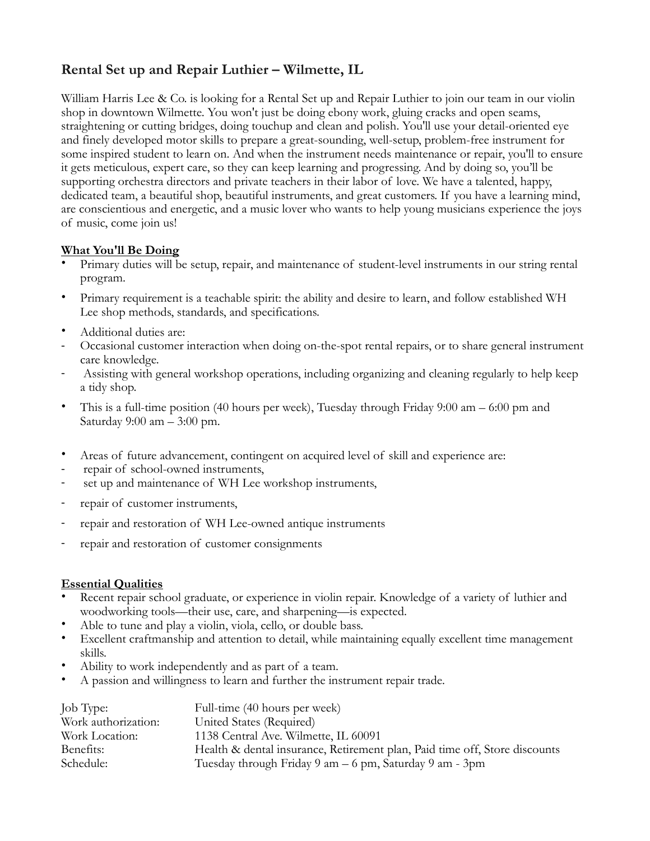## **Rental Set up and Repair Luthier – Wilmette, IL**

William Harris Lee & Co. is looking for a Rental Set up and Repair Luthier to join our team in our violin shop in downtown Wilmette. You won't just be doing ebony work, gluing cracks and open seams, straightening or cutting bridges, doing touchup and clean and polish. You'll use your detail-oriented eye and finely developed motor skills to prepare a great-sounding, well-setup, problem-free instrument for some inspired student to learn on. And when the instrument needs maintenance or repair, you'll to ensure it gets meticulous, expert care, so they can keep learning and progressing. And by doing so, you'll be supporting orchestra directors and private teachers in their labor of love. We have a talented, happy, dedicated team, a beautiful shop, beautiful instruments, and great customers. If you have a learning mind, are conscientious and energetic, and a music lover who wants to help young musicians experience the joys of music, come join us!

## **What You'll Be Doing**

- Primary duties will be setup, repair, and maintenance of student-level instruments in our string rental program.
- Primary requirement is a teachable spirit: the ability and desire to learn, and follow established WH Lee shop methods, standards, and specifications.
- Additional duties are:
- Occasional customer interaction when doing on-the-spot rental repairs, or to share general instrument care knowledge.
- Assisting with general workshop operations, including organizing and cleaning regularly to help keep a tidy shop.
- This is a full-time position (40 hours per week), Tuesday through Friday 9:00 am 6:00 pm and Saturday 9:00 am – 3:00 pm.
- Areas of future advancement, contingent on acquired level of skill and experience are:
- repair of school-owned instruments,
- set up and maintenance of WH Lee workshop instruments,
- repair of customer instruments,
- repair and restoration of WH Lee-owned antique instruments
- repair and restoration of customer consignments

## **Essential Qualities**

- Recent repair school graduate, or experience in violin repair. Knowledge of a variety of luthier and woodworking tools—their use, care, and sharpening—is expected.
- Able to tune and play a violin, viola, cello, or double bass.
- Excellent craftmanship and attention to detail, while maintaining equally excellent time management skills.
- Ability to work independently and as part of a team.
- A passion and willingness to learn and further the instrument repair trade.

| Job Type:           | Full-time (40 hours per week)                                              |
|---------------------|----------------------------------------------------------------------------|
| Work authorization: | United States (Required)                                                   |
| Work Location:      | 1138 Central Ave. Wilmette, IL 60091                                       |
| Benefits:           | Health & dental insurance, Retirement plan, Paid time off, Store discounts |
| Schedule:           | Tuesday through Friday 9 am – 6 pm, Saturday 9 am - 3pm                    |